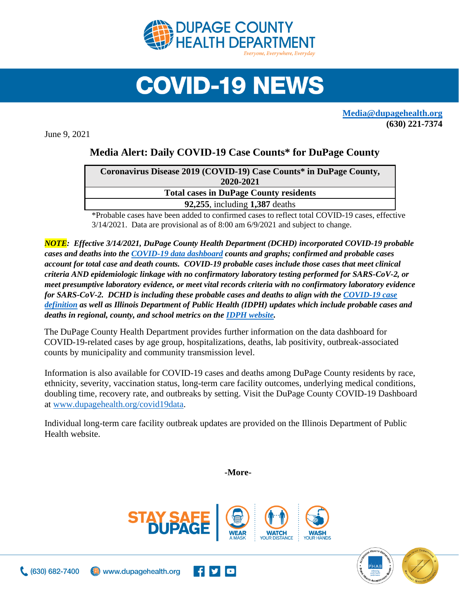

## **COVID-19 NEWS**

**[Media@dupagehealth.org](mailto:Media@dupagehealth.org) (630) 221-7374**

June 9, 2021

## **Media Alert: Daily COVID-19 Case Counts\* for DuPage County**

| Coronavirus Disease 2019 (COVID-19) Case Counts* in DuPage County, |  |
|--------------------------------------------------------------------|--|
| 2020-2021                                                          |  |
| <b>Total cases in DuPage County residents</b>                      |  |
| 92,255, including 1,387 deaths                                     |  |
|                                                                    |  |

\*Probable cases have been added to confirmed cases to reflect total COVID-19 cases, effective 3/14/2021. Data are provisional as of 8:00 am 6/9/2021 and subject to change.

*NOTE: Effective 3/14/2021, DuPage County Health Department (DCHD) incorporated COVID-19 probable cases and deaths into the [COVID-19 data dashboard](http://www.dupagehealth.org/covid19data) counts and graphs; confirmed and probable cases account for total case and death counts. COVID-19 probable cases include those cases that meet clinical criteria AND epidemiologic linkage with no confirmatory laboratory testing performed for SARS-CoV-2, or meet presumptive laboratory evidence, or meet vital records criteria with no confirmatory laboratory evidence for SARS-CoV-2. DCHD is including these probable cases and deaths to align with the [COVID-19 case](https://wwwn.cdc.gov/nndss/conditions/coronavirus-disease-2019-covid-19/case-definition/2020/08/05/)  [definition](https://wwwn.cdc.gov/nndss/conditions/coronavirus-disease-2019-covid-19/case-definition/2020/08/05/) as well as Illinois Department of Public Health (IDPH) updates which include probable cases and deaths in regional, county, and school metrics on th[e IDPH website.](http://dph.illinois.gov/covid19/covid19-statistics)*

The DuPage County Health Department provides further information on the data dashboard for COVID-19-related cases by age group, hospitalizations, deaths, lab positivity, outbreak-associated counts by municipality and community transmission level.

Information is also available for COVID-19 cases and deaths among DuPage County residents by race, ethnicity, severity, vaccination status, long-term care facility outcomes, underlying medical conditions, doubling time, recovery rate, and outbreaks by setting. Visit the DuPage County COVID-19 Dashboard at [www.dupagehealth.org/covid19data.](http://www.dupagehealth.org/covid19data)

Individual long-term care facility outbreak updates are provided on the Illinois Department of Public Health website.

**-More-**